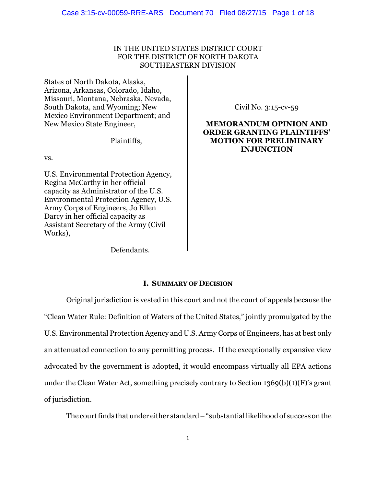# IN THE UNITED STATES DISTRICT COURT FOR THE DISTRICT OF NORTH DAKOTA SOUTHEASTERN DIVISION

States of North Dakota, Alaska, Arizona, Arkansas, Colorado, Idaho, Missouri, Montana, Nebraska, Nevada, South Dakota, and Wyoming; New Mexico Environment Department; and New Mexico State Engineer,

Plaintiffs,

vs.

U.S. Environmental Protection Agency, Regina McCarthy in her official capacity as Administrator of the U.S. Environmental Protection Agency, U.S. Army Corps of Engineers, Jo Ellen Darcy in her official capacity as Assistant Secretary of the Army (Civil Works),

Civil No. 3:15-cv-59

# **MEMORANDUM OPINION AND ORDER GRANTING PLAINTIFFS' MOTION FOR PRELIMINARY INJUNCTION**

Defendants.

# **I. SUMMARY OF DECISION**

Original jurisdiction is vested in this court and not the court of appeals because the "Clean Water Rule: Definition of Waters of the United States," jointly promulgated by the U.S. Environmental Protection Agency and U.S. Army Corps of Engineers, has at best only an attenuated connection to any permitting process. If the exceptionally expansive view advocated by the government is adopted, it would encompass virtually all EPA actions under the Clean Water Act, something precisely contrary to Section 1369(b)(1)(F)'s grant of jurisdiction.

The court finds that under either standard  $-$  "substantial likelihood of success on the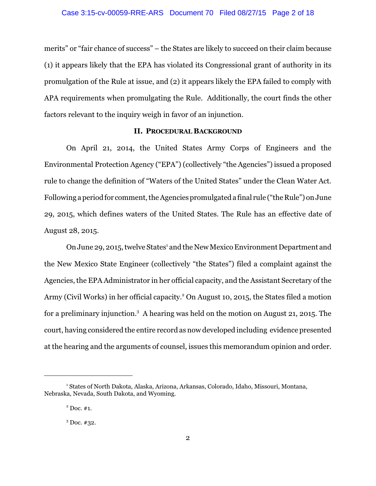merits" or "fair chance of success" – the States are likely to succeed on their claim because (1) it appears likely that the EPA has violated its Congressional grant of authority in its promulgation of the Rule at issue, and (2) it appears likely the EPA failed to comply with APA requirements when promulgating the Rule. Additionally, the court finds the other factors relevant to the inquiry weigh in favor of an injunction.

# **II. PROCEDURAL BACKGROUND**

On April 21, 2014, the United States Army Corps of Engineers and the Environmental Protection Agency ("EPA") (collectively "the Agencies") issued a proposed rule to change the definition of "Waters of the United States" under the Clean Water Act. Following a period for comment, the Agencies promulgated a final rule ("the Rule") on June 29, 2015, which defines waters of the United States. The Rule has an effective date of August 28, 2015.

On June 29, 2015, twelve States<sup>1</sup> and the New Mexico Environment Department and the New Mexico State Engineer (collectively "the States") filed a complaint against the Agencies, the EPA Administrator in her official capacity, and the Assistant Secretary of the Army (Civil Works) in her official capacity.<sup>2</sup> On August 10, 2015, the States filed a motion for a preliminary injunction.<sup>3</sup> A hearing was held on the motion on August 21, 2015. The court, having considered the entire record as now developed including evidence presented at the hearing and the arguments of counsel, issues this memorandum opinion and order.

<sup>1</sup> States of North Dakota, Alaska, Arizona, Arkansas, Colorado, Idaho, Missouri, Montana, Nebraska, Nevada, South Dakota, and Wyoming.

 $2^{\circ}$  Doc. #1.

 $3$  Doc.  $#32$ .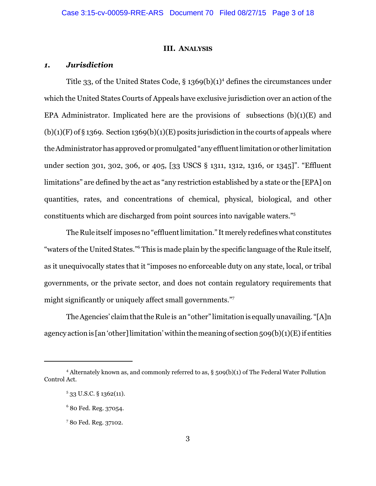#### **III. ANALYSIS**

# *1. Jurisdiction*

Title 33, of the United States Code,  $\S 1369(b)(1)^4$  defines the circumstances under which the United States Courts of Appeals have exclusive jurisdiction over an action of the EPA Administrator. Implicated here are the provisions of subsections  $(b)(1)(E)$  and  $(b)(1)(F)$  of § 1369. Section 1369(b)(1)(E) posits jurisdiction in the courts of appeals where the Administrator has approved or promulgated "any effluent limitation or other limitation under section 301, 302, 306, or 405, [33 USCS § 1311, 1312, 1316, or 1345]". "Effluent limitations" are defined by the act as "any restriction established by a state or the [EPA] on quantities, rates, and concentrations of chemical, physical, biological, and other constituents which are discharged from point sources into navigable waters."<sup>5</sup>

The Rule itself imposes no "effluent limitation." It merely redefines what constitutes "waters of the United States."<sup>6</sup> This is made plain by the specific language of the Rule itself, as it unequivocally states that it "imposes no enforceable duty on any state, local, or tribal governments, or the private sector, and does not contain regulatory requirements that might significantly or uniquely affect small governments."<sup>7</sup>

The Agencies' claim thatthe Rule is an "other" limitation is equally unavailing. "[A]n agency action is [an 'other] limitation' within the meaning of section  $509(b)(1)(E)$  if entities

<sup>4</sup> Alternately known as, and commonly referred to as, § 509(b)(1) of The Federal Water Pollution Control Act.

 $5$  33 U.S.C. § 1362(11).

<sup>6</sup> 80 Fed. Reg. 37054.

<sup>7</sup> 80 Fed. Reg. 37102.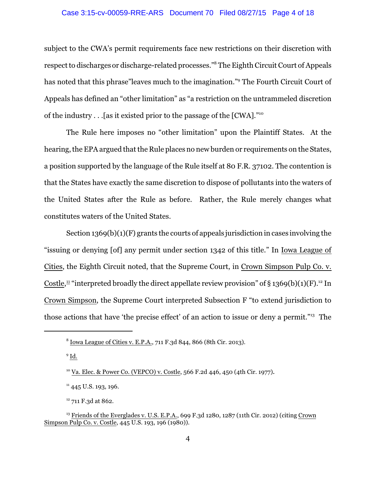# Case 3:15-cv-00059-RRE-ARS Document 70 Filed 08/27/15 Page 4 of 18

subject to the CWA's permit requirements face new restrictions on their discretion with respect to discharges or discharge-related processes."<sup>8</sup> The Eighth Circuit Court of Appeals has noted that this phrase"leaves much to the imagination."<sup>9</sup> The Fourth Circuit Court of Appeals has defined an "other limitation" as "a restriction on the untrammeled discretion of the industry . . .[as it existed prior to the passage of the [CWA]."<sup>10</sup>

The Rule here imposes no "other limitation" upon the Plaintiff States. At the hearing, the EPA argued that the Rule places no new burden or requirements on the States, a position supported by the language of the Rule itself at 80 F.R. 37102. The contention is that the States have exactly the same discretion to dispose of pollutants into the waters of the United States after the Rule as before. Rather, the Rule merely changes what constitutes waters of the United States.

Section 1369(b)(1)(F) grants the courts of appeals jurisdiction in cases involving the "issuing or denying [of] any permit under section 1342 of this title." In Iowa League of Cities, the Eighth Circuit noted, that the Supreme Court, in Crown Simpson Pulp Co. v. Costle,<sup>11</sup> "interpreted broadly the direct appellate review provision" of § 1369(b)(1)(F).<sup>12</sup> In Crown Simpson, the Supreme Court interpreted Subsection F "to extend jurisdiction to those actions that have 'the precise effect' of an action to issue or deny a permit."<sup>13</sup> The

 $^9$  <u>Id.</u>

 $11$  445 U.S. 193, 196.

<sup>12</sup> 711 F.3d at 862.

<sup>&</sup>lt;sup>8</sup> Iowa League of Cities v. E.P.A., 711 F.3d 844, 866 (8th Cir. 2013).

<sup>&</sup>lt;sup>10</sup> Va. Elec. & Power Co. (VEPCO) v. Costle, 566 F.2d 446, 450 (4th Cir. 1977).

<sup>&</sup>lt;sup>13</sup> Friends of the Everglades v. U.S. E.P.A., 699 F.3d 1280, 1287 (11th Cir. 2012) (citing Crown Simpson Pulp Co. v. Costle, 445 U.S. 193, 196 (1980)).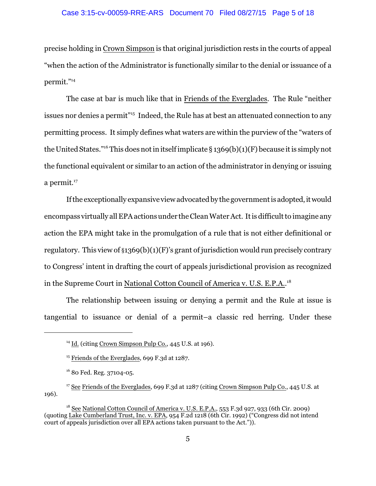### Case 3:15-cv-00059-RRE-ARS Document 70 Filed 08/27/15 Page 5 of 18

precise holding in Crown Simpson is that original jurisdiction rests in the courts of appeal "when the action of the Administrator is functionally similar to the denial or issuance of a permit." 14

The case at bar is much like that in Friends of the Everglades. The Rule "neither issues nor denies a permit" 15 Indeed, the Rule has at best an attenuated connection to any permitting process. It simply defines what waters are within the purview of the "waters of the United States."<sup>16</sup> This does not in itself implicate § 1369(b)(1)(F) because it is simply not the functional equivalent or similar to an action of the administrator in denying or issuing a permit. $^{17}$ 

If the exceptionally expansive view advocated by the government is adopted, it would encompass virtually all EPA actions under the Clean Water Act. It is difficult to imagine any action the EPA might take in the promulgation of a rule that is not either definitional or regulatory. This view of  $\S 1369(b)(1)(F)$ 's grant of jurisdiction would run precisely contrary to Congress' intent in drafting the court of appeals jurisdictional provision as recognized in the Supreme Court in National Cotton Council of America v. U.S. E.P.A..<sup>18</sup>

The relationship between issuing or denying a permit and the Rule at issue is tangential to issuance or denial of a permit–a classic red herring. Under these

<sup>&</sup>lt;sup>14</sup> Id. (citing Crown Simpson Pulp Co., 445 U.S. at 196).

<sup>&</sup>lt;sup>15</sup> Friends of the Everglades, 699 F.3d at 1287.

<sup>16</sup> 80 Fed. Reg. 37104-05.

<sup>&</sup>lt;sup>17</sup> See Friends of the Everglades, 699 F.3d at 1287 (citing Crown Simpson Pulp Co., 445 U.S. at 196).

<sup>&</sup>lt;sup>18</sup> See National Cotton Council of America v. U.S. E.P.A., 553 F.3d 927, 933 (6th Cir. 2009) (quoting Lake Cumberland Trust, Inc. v. EPA, 954 F.2d 1218 (6th Cir. 1992) ("Congress did not intend court of appeals jurisdiction over all EPA actions taken pursuant to the Act.")).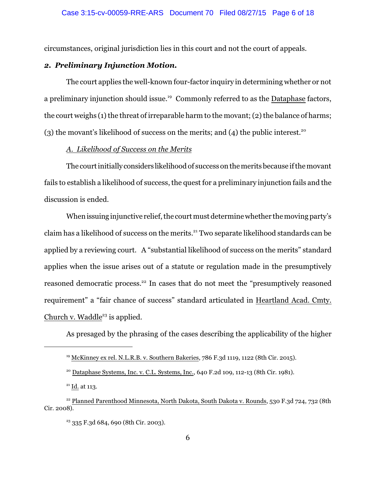circumstances, original jurisdiction lies in this court and not the court of appeals.

# *2. Preliminary Injunction Motion.*

The court applies the well-known four-factor inquiry in determining whether or not a preliminary injunction should issue.<sup>19</sup> Commonly referred to as the Dataphase factors, the court weighs  $(1)$  the threat of irreparable harm to the movant;  $(2)$  the balance of harms; (3) the movant's likelihood of success on the merits; and (4) the public interest.<sup>20</sup>

# *A. Likelihood of Success on the Merits*

The courtinitiallyconsiders likelihood of success on the merits because ifthe movant fails to establish a likelihood of success, the quest for a preliminary injunction fails and the discussion is ended.

When issuing injunctive relief, the court must determine whether the moving party's claim has a likelihood of success on the merits.<sup>21</sup> Two separate likelihood standards can be applied by a reviewing court. A "substantial likelihood of success on the merits" standard applies when the issue arises out of a statute or regulation made in the presumptively reasoned democratic process.<sup>22</sup> In cases that do not meet the "presumptively reasoned requirement" a "fair chance of success" standard articulated in Heartland Acad. Cmty. Church v. Waddle<sup>23</sup> is applied.

As presaged by the phrasing of the cases describing the applicability of the higher

<sup>&</sup>lt;sup>19</sup> McKinney ex rel. N.L.R.B. v. Southern Bakeries, 786 F.3d 1119, 1122 (8th Cir. 2015).

 $20$  Dataphase Systems, Inc. v. C.L. Systems, Inc., 640 F.2d 109, 112-13 (8th Cir. 1981).

 $^{21}$  Id. at 113.

 $22$  Planned Parenthood Minnesota, North Dakota, South Dakota v. Rounds, 530 F.3d 724, 732 (8th Cir. 2008).

 $23$  335 F.3d 684, 690 (8th Cir. 2003).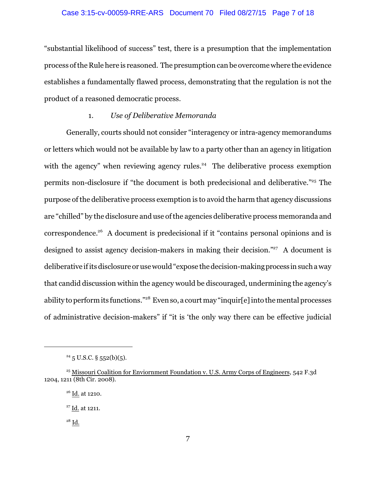# Case 3:15-cv-00059-RRE-ARS Document 70 Filed 08/27/15 Page 7 of 18

"substantial likelihood of success" test, there is a presumption that the implementation process ofthe Rule here is reasoned. The presumption can be overcome where the evidence establishes a fundamentally flawed process, demonstrating that the regulation is not the product of a reasoned democratic process.

# 1. *Use of Deliberative Memoranda*

Generally, courts should not consider "interagency or intra-agency memorandums or letters which would not be available by law to a party other than an agency in litigation with the agency" when reviewing agency rules.<sup>24</sup> The deliberative process exemption permits non-disclosure if "the document is both predecisional and deliberative."<sup>25</sup> The purpose of the deliberative process exemption is to avoid the harm that agency discussions are "chilled" by the disclosure and use ofthe agencies deliberative process memoranda and correspondence.<sup>26</sup> A document is predecisional if it "contains personal opinions and is designed to assist agency decision-makers in making their decision."<sup>27</sup> A document is deliberative ifits disclosure or use would "expose the decision-making process in such a way that candid discussion within the agency would be discouraged, undermining the agency's ability to perform its functions."<sup>28</sup> Even so, a court may "inquir[e] into the mental processes of administrative decision-makers" if "it is 'the only way there can be effective judicial

 $24\frac{1}{5}$  U.S.C. § 552(b)(5).

<sup>&</sup>lt;sup>25</sup> Missouri Coalition for Enviornment Foundation v. U.S. Army Corps of Engineers, 542 F.3d 1204, 1211 (8th Cir. 2008).

<sup>26</sup> Id. at 1210.

<sup>27</sup> Id. at 1211.

 $^{28}$  Id.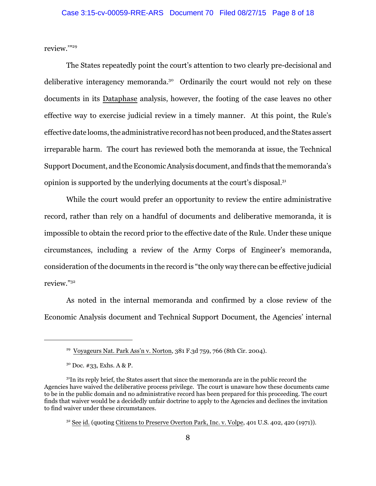review.'"<sup>29</sup>

The States repeatedly point the court's attention to two clearly pre-decisional and deliberative interagency memoranda.<sup>30</sup> Ordinarily the court would not rely on these documents in its Dataphase analysis, however, the footing of the case leaves no other effective way to exercise judicial review in a timely manner. At this point, the Rule's effective date looms, the administrative record has not been produced, and the States assert irreparable harm. The court has reviewed both the memoranda at issue, the Technical Support Document, and the Economic Analysis document, and finds that the memoranda's opinion is supported by the underlying documents at the court's disposal.<sup>31</sup>

While the court would prefer an opportunity to review the entire administrative record, rather than rely on a handful of documents and deliberative memoranda, it is impossible to obtain the record prior to the effective date of the Rule. Under these unique circumstances, including a review of the Army Corps of Engineer's memoranda, consideration of the documents in the record is "the only way there can be effective judicial review."<sup>32</sup>

As noted in the internal memoranda and confirmed by a close review of the Economic Analysis document and Technical Support Document, the Agencies' internal

<sup>29</sup> Voyageurs Nat. Park Ass'n v. Norton, 381 F.3d 759, 766 (8th Cir. 2004).

 $30$  Doc. #33, Exhs. A & P.

 $31$ In its reply brief, the States assert that since the memoranda are in the public record the Agencies have waived the deliberative process privilege. The court is unaware how these documents came to be in the public domain and no administrative record has been prepared for this proceeding. The court finds that waiver would be a decidedly unfair doctrine to apply to the Agencies and declines the invitation to find waiver under these circumstances.

<sup>&</sup>lt;sup>32</sup> See id. (quoting Citizens to Preserve Overton Park, Inc. v. Volpe, 401 U.S. 402, 420 (1971)).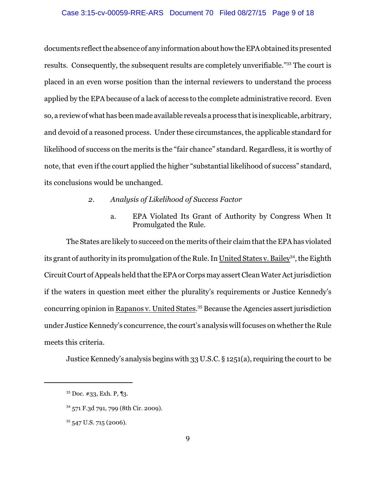#### Case 3:15-cv-00059-RRE-ARS Document 70 Filed 08/27/15 Page 9 of 18

documents reflect the absence of any information about how the EPA obtained its presented results. Consequently, the subsequent results are completely unverifiable."<sup>33</sup> The court is placed in an even worse position than the internal reviewers to understand the process applied by the EPA because of a lack of access to the complete administrative record. Even so, a review of what has been made available reveals a process that is inexplicable, arbitrary, and devoid of a reasoned process. Under these circumstances, the applicable standard for likelihood of success on the merits is the "fair chance" standard. Regardless, it is worthy of note, that even if the court applied the higher "substantial likelihood of success" standard, its conclusions would be unchanged.

- *2. Analysis of Likelihood of Success Factor*
	- a. EPA Violated Its Grant of Authority by Congress When It Promulgated the Rule.

The States are likely to succeed on the merits of their claim that the EPA has violated its grant of authority in its promulgation of the Rule. In <u>United States v. Bailey<sup>34</sup>,</u> the Eighth Circuit Court of Appeals held that the EPA or Corps may assert Clean Water Act jurisdiction if the waters in question meet either the plurality's requirements or Justice Kennedy's concurring opinion in Rapanos v. United States.<sup>35</sup> Because the Agencies assert jurisdiction under Justice Kennedy's concurrence, the court's analysis will focuses on whether the Rule meets this criteria.

Justice Kennedy's analysis begins with 33 U.S.C. § 1251(a), requiring the court to be

<sup>33</sup> Doc. #33, Exh. P, ¶3.

<sup>34</sup> 571 F.3d 791, 799 (8th Cir. 2009).

 $35\,547$  U.S. 715 (2006).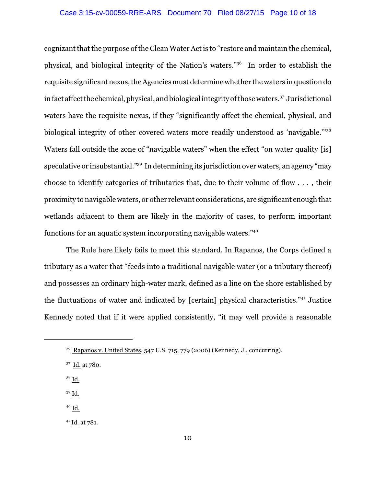#### Case 3:15-cv-00059-RRE-ARS Document 70 Filed 08/27/15 Page 10 of 18

cognizant that the purpose of the Clean Water Act is to "restore and maintain the chemical, physical, and biological integrity of the Nation's waters."<sup>36</sup> In order to establish the requisite significant nexus, the Agencies must determine whether the waters in question do in fact affect the chemical, physical, and biological integrity of those waters.<sup>37</sup> Jurisdictional waters have the requisite nexus, if they "significantly affect the chemical, physical, and biological integrity of other covered waters more readily understood as 'navigable.""<sup>38</sup> Waters fall outside the zone of "navigable waters" when the effect "on water quality [is] speculative or insubstantial."<sup>39</sup> In determining its jurisdiction over waters, an agency "may choose to identify categories of tributaries that, due to their volume of flow . . . , their proximity to navigable waters, or other relevant considerations, are significant enough that wetlands adjacent to them are likely in the majority of cases, to perform important functions for an aquatic system incorporating navigable waters."<sup>40</sup>

The Rule here likely fails to meet this standard. In Rapanos, the Corps defined a tributary as a water that "feeds into a traditional navigable water (or a tributary thereof) and possesses an ordinary high-water mark, defined as a line on the shore established by the fluctuations of water and indicated by [certain] physical characteristics."<sup>41</sup> Justice Kennedy noted that if it were applied consistently, "it may well provide a reasonable

- $^{38}$  Id.  $\,$
- $39$  Id.
- $40 \underline{\mathsf{Id}}$ .

<sup>41</sup> Id. at 781.

<sup>36</sup> Rapanos v. United States, 547 U.S. 715, 779 (2006) (Kennedy, J., concurring).

<sup>37</sup> Id. at 780.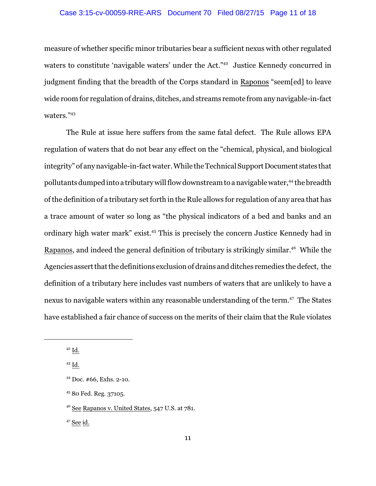#### Case 3:15-cv-00059-RRE-ARS Document 70 Filed 08/27/15 Page 11 of 18

measure of whether specific minor tributaries bear a sufficient nexus with other regulated waters to constitute 'navigable waters' under the Act." 42 Justice Kennedy concurred in judgment finding that the breadth of the Corps standard in Raponos "seem[ed] to leave wide room for regulation of drains, ditches, and streams remote from any navigable-in-fact waters."43

The Rule at issue here suffers from the same fatal defect. The Rule allows EPA regulation of waters that do not bear any effect on the "chemical, physical, and biological integrity" of any navigable-in-fact water. While the Technical Support Document states that pollutants dumped into a tributary will flow downstream to a navigable water,<sup>44</sup> the breadth of the definition of a tributary set forth in the Rule allows for regulation of any area that has a trace amount of water so long as "the physical indicators of a bed and banks and an ordinary high water mark" exist. <sup>45</sup> This is precisely the concern Justice Kennedy had in Rapanos, and indeed the general definition of tributary is strikingly similar.<sup>46</sup> While the Agencies assert that the definitions exclusion of drains and ditches remedies the defect, the definition of a tributary here includes vast numbers of waters that are unlikely to have a nexus to navigable waters within any reasonable understanding of the term.<sup>47</sup> The States have established a fair chance of success on the merits of their claim that the Rule violates

 $^{47}$  See id.

 $42$  Id.

<sup>43</sup> Id.

<sup>44</sup> Doc. #66, Exhs. 2-10.

<sup>45</sup> 80 Fed. Reg. 37105.

 $46$  See Rapanos v. United States,  $547$  U.S. at  $781$ .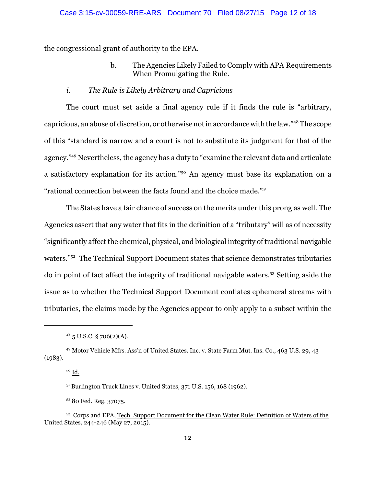the congressional grant of authority to the EPA.

b. The Agencies Likely Failed to Comply with APA Requirements When Promulgating the Rule.

# *i. The Rule is Likely Arbitrary and Capricious*

The court must set aside a final agency rule if it finds the rule is "arbitrary, capricious, an abuse of discretion, or otherwise notin accordance with the law."<sup>48</sup> The scope of this "standard is narrow and a court is not to substitute its judgment for that of the agency."<sup>49</sup> Nevertheless, the agency has a duty to "examine the relevant data and articulate a satisfactory explanation for its action."<sup>50</sup> An agency must base its explanation on a "rational connection between the facts found and the choice made."<sup>51</sup>

The States have a fair chance of success on the merits under this prong as well. The Agencies assert that any water that fits in the definition of a "tributary" will as of necessity "significantly affect the chemical, physical, and biological integrity of traditional navigable waters."<sup>52</sup> The Technical Support Document states that science demonstrates tributaries do in point of fact affect the integrity of traditional navigable waters.<sup>53</sup> Setting aside the issue as to whether the Technical Support Document conflates ephemeral streams with tributaries, the claims made by the Agencies appear to only apply to a subset within the

<sup>50</sup> Id.

<sup>51</sup> Burlington Truck Lines v. United States, 371 U.S. 156, 168 (1962).

<sup>52</sup> 80 Fed. Reg. 37075.

 $48\frac{\text{18}}{\text{5}}$  U.S.C. § 706(2)(A).

<sup>49</sup> Motor Vehicle Mfrs. Ass'n of United States, Inc. v. State Farm Mut. Ins. Co., 463 U.S. 29, 43 (1983).

<sup>53</sup> Corps and EPA, Tech. Support Document for the Clean Water Rule: Definition of Waters of the United States, 244-246 (May 27, 2015).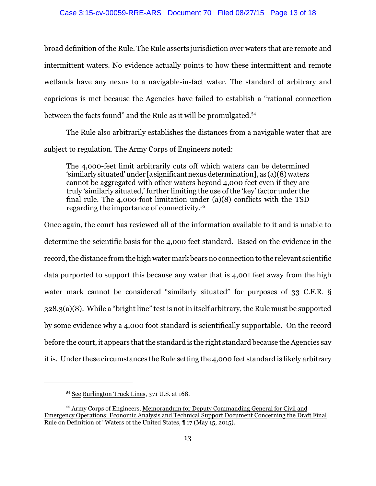#### Case 3:15-cv-00059-RRE-ARS Document 70 Filed 08/27/15 Page 13 of 18

broad definition of the Rule. The Rule asserts jurisdiction over waters that are remote and intermittent waters. No evidence actually points to how these intermittent and remote wetlands have any nexus to a navigable-in-fact water. The standard of arbitrary and capricious is met because the Agencies have failed to establish a "rational connection between the facts found" and the Rule as it will be promulgated.<sup>54</sup>

The Rule also arbitrarily establishes the distances from a navigable water that are subject to regulation. The Army Corps of Engineers noted:

The 4,000-feet limit arbitrarily cuts off which waters can be determined 'similarly situated' under [asignificantnexusdetermination], as (a)(8) waters cannot be aggregated with other waters beyond 4,000 feet even if they are truly 'similarly situated,' further limiting the use of the 'key' factor under the final rule. The 4,000-foot limitation under (a)(8) conflicts with the TSD regarding the importance of connectivity.<sup>55</sup>

Once again, the court has reviewed all of the information available to it and is unable to determine the scientific basis for the 4,000 feet standard. Based on the evidence in the record, the distance from the high water mark bears no connection to the relevant scientific data purported to support this because any water that is 4,001 feet away from the high water mark cannot be considered "similarly situated" for purposes of 33 C.F.R. § 328.3(a)(8). While a "bright line" test is not in itself arbitrary, the Rule must be supported by some evidence why a 4,000 foot standard is scientifically supportable. On the record before the court, it appears that the standard is the right standard because the Agencies say it is. Under these circumstances the Rule setting the 4,000 feet standard is likely arbitrary

<sup>54</sup> See Burlington Truck Lines, 371 U.S. at 168.

<sup>55</sup> Army Corps of Engineers, Memorandum for Deputy Commanding General for Civil and Emergency Operations: Economic Analysis and Technical Support Document Concerning the Draft Final Rule on Definition of "Waters of the United States, ¶ 17 (May 15, 2015).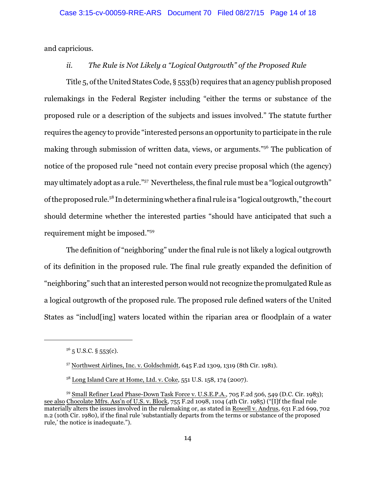and capricious.

# *ii. The Rule is Not Likely a "Logical Outgrowth" of the Proposed Rule*

Title 5, ofthe United States Code, § 553(b) requires that an agency publish proposed rulemakings in the Federal Register including "either the terms or substance of the proposed rule or a description of the subjects and issues involved." The statute further requires the agency to provide "interested persons an opportunity to participate in the rule making through submission of written data, views, or arguments."<sup>56</sup> The publication of notice of the proposed rule "need not contain every precise proposal which (the agency) may ultimately adopt as a rule."<sup>57</sup> Nevertheless, the final rule must be a "logical outgrowth" ofthe proposed rule. 58 In determining whether a final rule is a "logical outgrowth," the court should determine whether the interested parties "should have anticipated that such a requirement might be imposed."<sup>59</sup>

The definition of "neighboring" under the final rule is not likely a logical outgrowth of its definition in the proposed rule. The final rule greatly expanded the definition of "neighboring" such that an interested person would not recognize the promulgated Rule as a logical outgrowth of the proposed rule. The proposed rule defined waters of the United States as "includ[ing] waters located within the riparian area or floodplain of a water

 $5^6$  5 U.S.C. § 553(c).

<sup>57</sup> Northwest Airlines, Inc. v. Goldschmidt, 645 F.2d 1309, 1319 (8th Cir. 1981).

<sup>&</sup>lt;sup>58</sup> Long Island Care at Home, Ltd. v. Coke, 551 U.S. 158, 174 (2007).

<sup>&</sup>lt;sup>59</sup> Small Refiner Lead Phase-Down Task Force v. U.S.E.P.A., 705 F.2d 506, 549 (D.C. Cir. 1983); see also Chocolate Mfrs. Ass'n of U.S. v. Block, 755 F.2d 1098, 1104 (4th Cir. 1985) ("[I]f the final rule materially alters the issues involved in the rulemaking or, as stated in Rowell v. Andrus, 631 F.2d 699, 702 n.2 (10th Cir. 1980), if the final rule 'substantially departs from the terms or substance of the proposed rule,' the notice is inadequate.").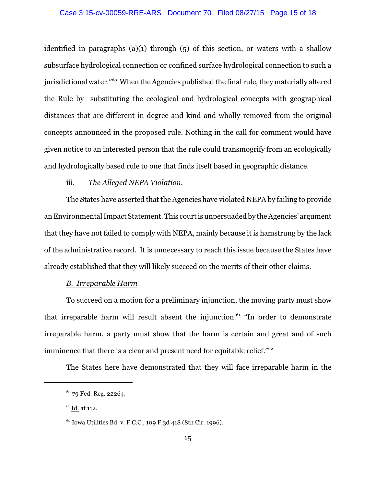identified in paragraphs (a)(1) through  $(5)$  of this section, or waters with a shallow subsurface hydrological connection or confined surface hydrological connection to such a jurisdictional water."<sup>60</sup> When the Agencies published the final rule, they materially altered the Rule by substituting the ecological and hydrological concepts with geographical distances that are different in degree and kind and wholly removed from the original concepts announced in the proposed rule. Nothing in the call for comment would have given notice to an interested person that the rule could transmogrify from an ecologically and hydrologically based rule to one that finds itself based in geographic distance.

# iii. *The Alleged NEPA Violation.*

The States have asserted that the Agencies have violated NEPA by failing to provide an Environmental Impact Statement. This court is unpersuaded by the Agencies' argument that they have not failed to comply with NEPA, mainly because it is hamstrung by the lack of the administrative record. It is unnecessary to reach this issue because the States have already established that they will likely succeed on the merits of their other claims.

# *B. Irreparable Harm*

To succeed on a motion for a preliminary injunction, the moving party must show that irreparable harm will result absent the injunction.<sup>61</sup> "In order to demonstrate irreparable harm, a party must show that the harm is certain and great and of such imminence that there is a clear and present need for equitable relief."<sup>62</sup>

The States here have demonstrated that they will face irreparable harm in the

<sup>60</sup> 79 Fed. Reg. 22264.

 $61$  Id. at 112.

<sup>62</sup> Iowa Utilities Bd. v. F.C.C., 109 F.3d 418 (8th Cir. 1996).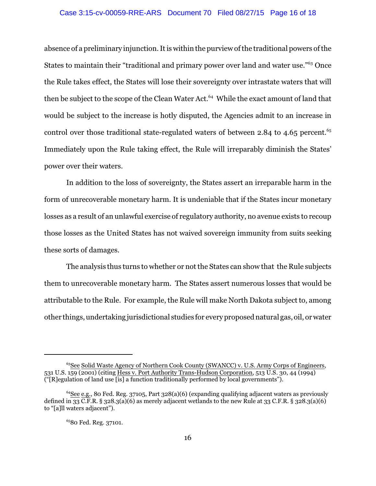#### Case 3:15-cv-00059-RRE-ARS Document 70 Filed 08/27/15 Page 16 of 18

absence of a preliminary injunction. It is within the purview of the traditional powers of the States to maintain their "traditional and primary power over land and water use."<sup>63</sup> Once the Rule takes effect, the States will lose their sovereignty over intrastate waters that will then be subject to the scope of the Clean Water Act. <sup>64</sup> While the exact amount of land that would be subject to the increase is hotly disputed, the Agencies admit to an increase in control over those traditional state-regulated waters of between 2.84 to 4.65 percent. 65 Immediately upon the Rule taking effect, the Rule will irreparably diminish the States' power over their waters.

In addition to the loss of sovereignty, the States assert an irreparable harm in the form of unrecoverable monetary harm. It is undeniable that if the States incur monetary losses as a result of an unlawful exercise of regulatory authority, no avenue exists to recoup those losses as the United States has not waived sovereign immunity from suits seeking these sorts of damages.

The analysis thus turns to whether or not the States can show that the Rule subjects them to unrecoverable monetary harm. The States assert numerous losses that would be attributable to the Rule. For example, the Rule will make North Dakota subject to, among other things, undertaking jurisdictional studies for every proposed natural gas, oil, or water

<sup>&</sup>lt;sup>63</sup>See Solid Waste Agency of Northern Cook County (SWANCC) v. U.S. Army Corps of Engineers, 531 U.S. 159 (2001) (citing Hess v. Port Authority Trans-Hudson Corporation, 513 U.S. 30, 44 (1994) ("[R]egulation of land use [is] a function traditionally performed by local governments").

<sup>64</sup>See e.g., 80 Fed. Reg. 37105, Part 328(a)(6) (expanding qualifying adjacent waters as previously defined in 33 C.F.R. § 328.3(a)(6) as merely adjacent wetlands to the new Rule at 33 C.F.R. § 328.3(a)(6) to "[a]ll waters adjacent").

<sup>65</sup>80 Fed. Reg. 37101.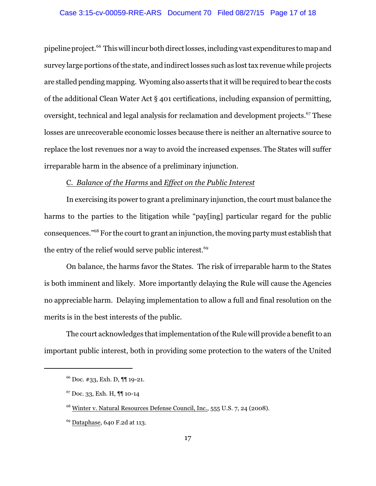#### Case 3:15-cv-00059-RRE-ARS Document 70 Filed 08/27/15 Page 17 of 18

pipeline project. <sup>66</sup> This will incur both directlosses, including vast expenditures to map and survey large portions of the state, and indirect losses such as lost tax revenue while projects are stalled pending mapping. Wyoming also asserts that it will be required to bear the costs of the additional Clean Water Act § 401 certifications, including expansion of permitting, oversight, technical and legal analysis for reclamation and development projects.<sup>67</sup> These losses are unrecoverable economic losses because there is neither an alternative source to replace the lost revenues nor a way to avoid the increased expenses. The States will suffer irreparable harm in the absence of a preliminary injunction.

## C. *Balance of the Harms* and *Effect on the Public Interest*

In exercising its power to grant a preliminary injunction, the court must balance the harms to the parties to the litigation while "pay[ing] particular regard for the public consequences."<sup>68</sup> For the court to grant an injunction, the moving party must establish that the entry of the relief would serve public interest.<sup>69</sup>

On balance, the harms favor the States. The risk of irreparable harm to the States is both imminent and likely. More importantly delaying the Rule will cause the Agencies no appreciable harm. Delaying implementation to allow a full and final resolution on the merits is in the best interests of the public.

The court acknowledges that implementation of the Rule will provide a benefit to an important public interest, both in providing some protection to the waters of the United

<sup>66</sup> Doc. #33, Exh. D, ¶¶ 19-21.

<sup>67</sup> Doc. 33, Exh. H, ¶¶ 10-14

<sup>&</sup>lt;sup>68</sup> Winter v. Natural Resources Defense Council, Inc., 555 U.S. 7, 24 (2008).

<sup>69</sup> Dataphase, 640 F.2d at 113.